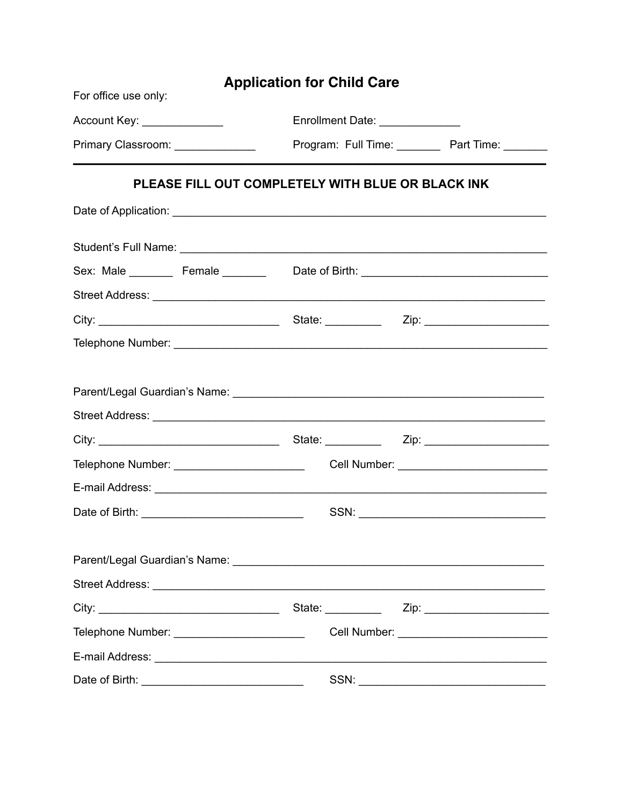| <b>Application for Child Care</b><br>For office use only: |  |                                 |                                              |  |  |
|-----------------------------------------------------------|--|---------------------------------|----------------------------------------------|--|--|
| Account Key: _______________                              |  | Enrollment Date: ______________ |                                              |  |  |
| Primary Classroom: ________________                       |  |                                 | Program: Full Time: Part Time: ______        |  |  |
| PLEASE FILL OUT COMPLETELY WITH BLUE OR BLACK INK         |  |                                 |                                              |  |  |
|                                                           |  |                                 |                                              |  |  |
|                                                           |  |                                 |                                              |  |  |
|                                                           |  |                                 |                                              |  |  |
|                                                           |  |                                 |                                              |  |  |
|                                                           |  |                                 |                                              |  |  |
|                                                           |  |                                 |                                              |  |  |
|                                                           |  |                                 |                                              |  |  |
|                                                           |  |                                 |                                              |  |  |
|                                                           |  |                                 |                                              |  |  |
|                                                           |  |                                 |                                              |  |  |
| Telephone Number: _________________________               |  |                                 |                                              |  |  |
|                                                           |  |                                 |                                              |  |  |
|                                                           |  |                                 |                                              |  |  |
|                                                           |  |                                 |                                              |  |  |
|                                                           |  |                                 |                                              |  |  |
|                                                           |  |                                 |                                              |  |  |
|                                                           |  |                                 |                                              |  |  |
| Telephone Number: _________________________               |  |                                 | Cell Number: _______________________________ |  |  |
|                                                           |  |                                 |                                              |  |  |
|                                                           |  |                                 |                                              |  |  |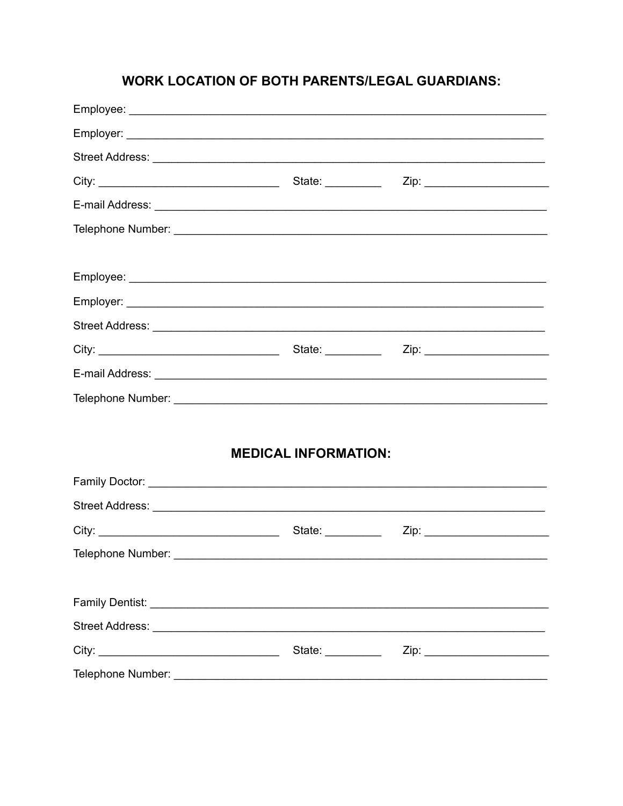## **WORK LOCATION OF BOTH PARENTS/LEGAL GUARDIANS:**

| <b>MEDICAL INFORMATION:</b> |  |  |  |  |
|-----------------------------|--|--|--|--|
|                             |  |  |  |  |
|                             |  |  |  |  |
|                             |  |  |  |  |
| Telephone Number: _         |  |  |  |  |
|                             |  |  |  |  |
|                             |  |  |  |  |
|                             |  |  |  |  |
|                             |  |  |  |  |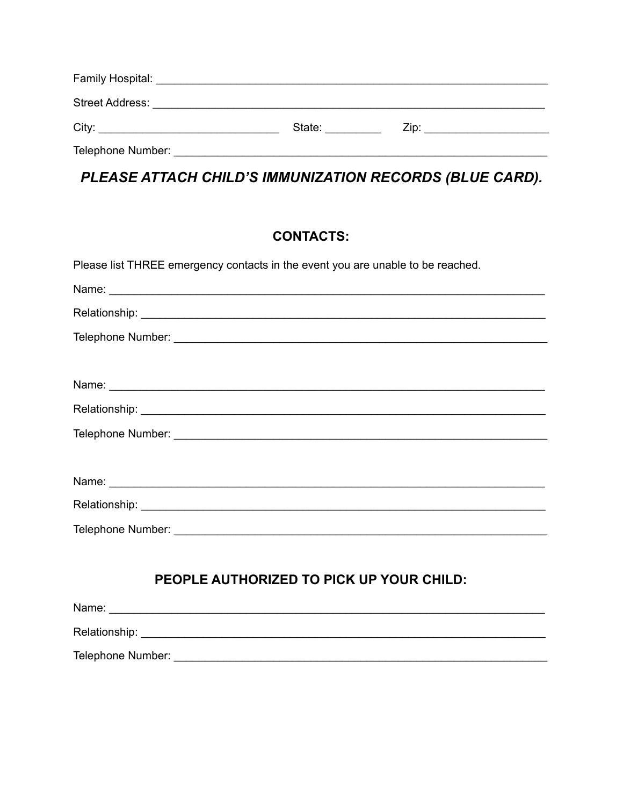| Street Address:<br><u> 1980 - Jan James James James James James James James James James James James James James James James James</u> |        |                                                                                                                                                                                                                                |
|---------------------------------------------------------------------------------------------------------------------------------------|--------|--------------------------------------------------------------------------------------------------------------------------------------------------------------------------------------------------------------------------------|
| City:                                                                                                                                 | State: | Zip: will be a series of the contract of the contract of the contract of the contract of the contract of the contract of the contract of the contract of the contract of the contract of the contract of the contract of the c |
| Telephone Number:                                                                                                                     |        |                                                                                                                                                                                                                                |

# PLEASE ATTACH CHILD'S IMMUNIZATION RECORDS (BLUE CARD).

### **CONTACTS:**

| Please list THREE emergency contacts in the event you are unable to be reached. |
|---------------------------------------------------------------------------------|
|                                                                                 |
|                                                                                 |
|                                                                                 |
|                                                                                 |
|                                                                                 |
|                                                                                 |
|                                                                                 |
|                                                                                 |
|                                                                                 |
|                                                                                 |
|                                                                                 |
|                                                                                 |
| PEOPLE AUTHORIZED TO PICK UP YOUR CHILD:                                        |
|                                                                                 |
|                                                                                 |
| Telephone Number:                                                               |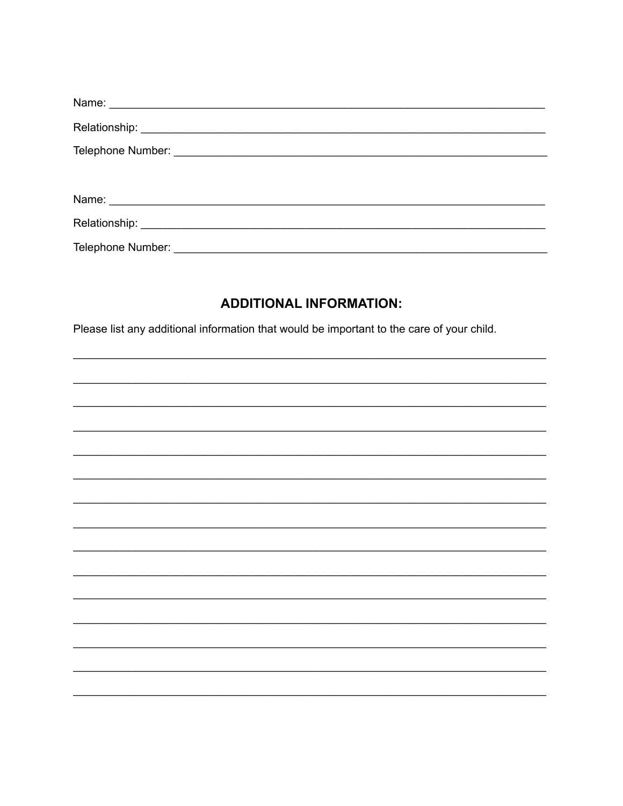| Telephone Number: |
|-------------------|

### **ADDITIONAL INFORMATION:**

Please list any additional information that would be important to the care of your child.

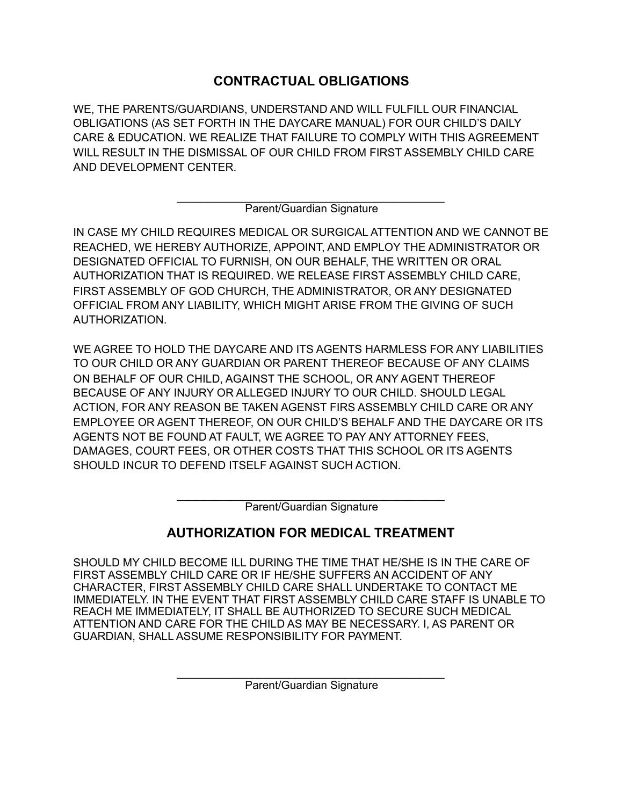## **CONTRACTUAL OBLIGATIONS**

WE, THE PARENTS/GUARDIANS, UNDERSTAND AND WILL FULFILL OUR FINANCIAL OBLIGATIONS (AS SET FORTH IN THE DAYCARE MANUAL) FOR OUR CHILD'S DAILY CARE & EDUCATION. WE REALIZE THAT FAILURE TO COMPLY WITH THIS AGREEMENT WILL RESULT IN THE DISMISSAL OF OUR CHILD FROM FIRST ASSEMBLY CHILD CARE AND DEVELOPMENT CENTER.

> \_\_\_\_\_\_\_\_\_\_\_\_\_\_\_\_\_\_\_\_\_\_\_\_\_\_\_\_\_\_\_\_\_\_\_\_\_\_\_\_\_\_\_ Parent/Guardian Signature

IN CASE MY CHILD REQUIRES MEDICAL OR SURGICAL ATTENTION AND WE CANNOT BE REACHED, WE HEREBY AUTHORIZE, APPOINT, AND EMPLOY THE ADMINISTRATOR OR DESIGNATED OFFICIAL TO FURNISH, ON OUR BEHALF, THE WRITTEN OR ORAL AUTHORIZATION THAT IS REQUIRED. WE RELEASE FIRST ASSEMBLY CHILD CARE, FIRST ASSEMBLY OF GOD CHURCH, THE ADMINISTRATOR, OR ANY DESIGNATED OFFICIAL FROM ANY LIABILITY, WHICH MIGHT ARISE FROM THE GIVING OF SUCH AUTHORIZATION.

WE AGREE TO HOLD THE DAYCARE AND ITS AGENTS HARMLESS FOR ANY LIABILITIES TO OUR CHILD OR ANY GUARDIAN OR PARENT THEREOF BECAUSE OF ANY CLAIMS ON BEHALF OF OUR CHILD, AGAINST THE SCHOOL, OR ANY AGENT THEREOF BECAUSE OF ANY INJURY OR ALLEGED INJURY TO OUR CHILD. SHOULD LEGAL ACTION, FOR ANY REASON BE TAKEN AGENST FIRS ASSEMBLY CHILD CARE OR ANY EMPLOYEE OR AGENT THEREOF, ON OUR CHILD'S BEHALF AND THE DAYCARE OR ITS AGENTS NOT BE FOUND AT FAULT, WE AGREE TO PAY ANY ATTORNEY FEES, DAMAGES, COURT FEES, OR OTHER COSTS THAT THIS SCHOOL OR ITS AGENTS SHOULD INCUR TO DEFEND ITSELF AGAINST SUCH ACTION.

> \_\_\_\_\_\_\_\_\_\_\_\_\_\_\_\_\_\_\_\_\_\_\_\_\_\_\_\_\_\_\_\_\_\_\_\_\_\_\_\_\_\_\_ Parent/Guardian Signature

# **AUTHORIZATION FOR MEDICAL TREATMENT**

SHOULD MY CHILD BECOME ILL DURING THE TIME THAT HE/SHE IS IN THE CARE OF FIRST ASSEMBLY CHILD CARE OR IF HE/SHE SUFFERS AN ACCIDENT OF ANY CHARACTER, FIRST ASSEMBLY CHILD CARE SHALL UNDERTAKE TO CONTACT ME IMMEDIATELY. IN THE EVENT THAT FIRST ASSEMBLY CHILD CARE STAFF IS UNABLE TO REACH ME IMMEDIATELY, IT SHALL BE AUTHORIZED TO SECURE SUCH MEDICAL ATTENTION AND CARE FOR THE CHILD AS MAY BE NECESSARY. I, AS PARENT OR GUARDIAN, SHALL ASSUME RESPONSIBILITY FOR PAYMENT.

> \_\_\_\_\_\_\_\_\_\_\_\_\_\_\_\_\_\_\_\_\_\_\_\_\_\_\_\_\_\_\_\_\_\_\_\_\_\_\_\_\_\_\_ Parent/Guardian Signature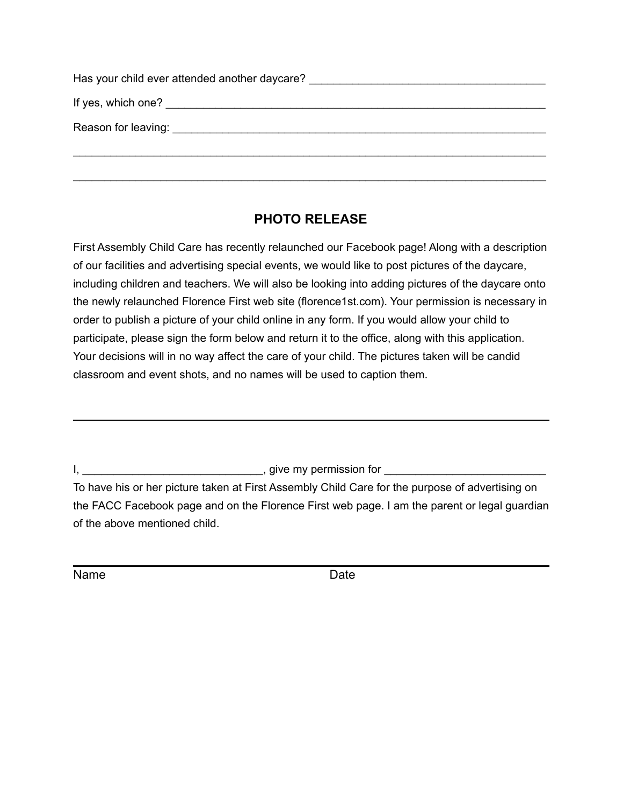| Has your child ever attended another daycare? The manufacturer of the state of the state of the state of the state of the state of the state of the state of the state of the state of the state of the state of the state of |
|-------------------------------------------------------------------------------------------------------------------------------------------------------------------------------------------------------------------------------|
|                                                                                                                                                                                                                               |
|                                                                                                                                                                                                                               |
|                                                                                                                                                                                                                               |

#### **PHOTO RELEASE**

First Assembly Child Care has recently relaunched our Facebook page! Along with a description of our facilities and advertising special events, we would like to post pictures of the daycare, including children and teachers. We will also be looking into adding pictures of the daycare onto the newly relaunched Florence First web site (florence1st.com). Your permission is necessary in order to publish a picture of your child online in any form. If you would allow your child to participate, please sign the form below and return it to the office, along with this application. Your decisions will in no way affect the care of your child. The pictures taken will be candid classroom and event shots, and no names will be used to caption them.

I, \_\_\_\_\_\_\_\_\_\_\_\_\_\_\_\_\_\_\_\_\_\_\_\_\_\_\_\_\_, give my permission for \_\_\_\_\_\_\_\_\_\_\_\_\_\_\_\_\_\_\_\_\_\_\_\_\_\_

To have his or her picture taken at First Assembly Child Care for the purpose of advertising on the FACC Facebook page and on the Florence First web page. I am the parent or legal guardian of the above mentioned child.

Name **Date**